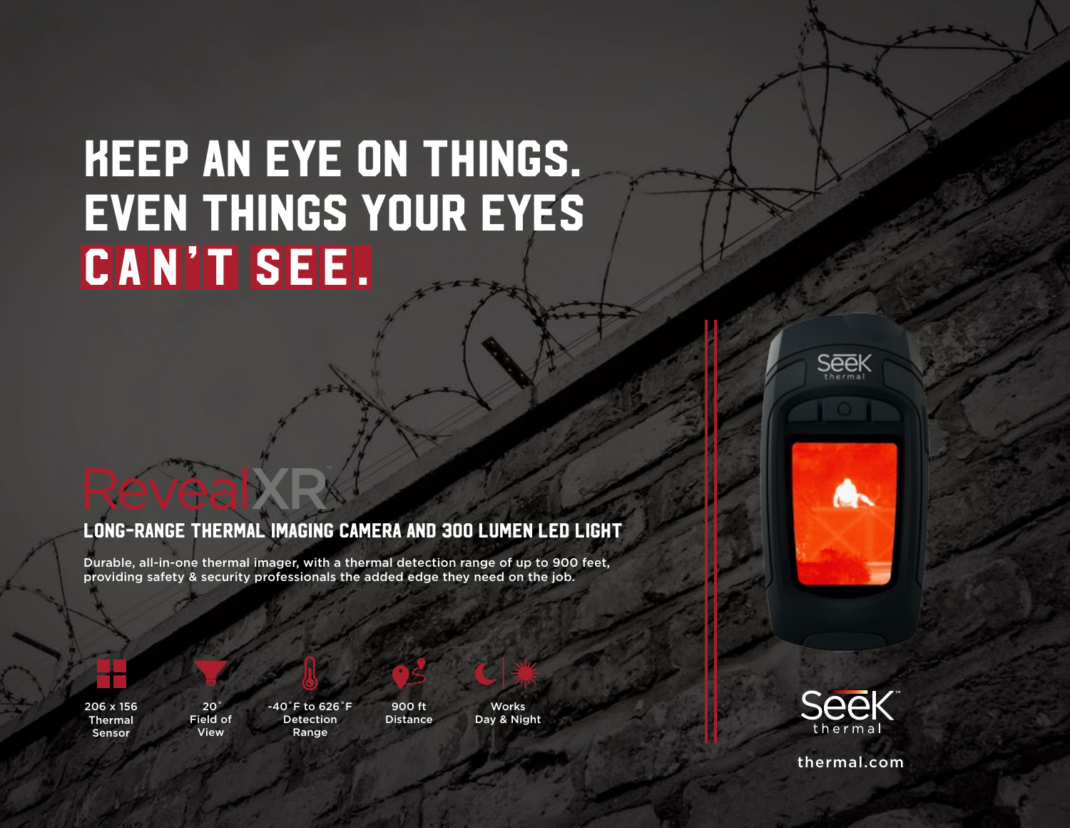# keep an eye on things. even things your eyes **CAN'T SEE.**

## Long-Range Thermal Imaging Camera and 300 Lumen LED Light

Durable, all-in-one thermal imager, with a thermal detection range of up to 900 feet, providing safety & security professionals the added edge they need on the job.



206 x 156 Thermal Sensor



**RevealXE** 

-40˚F to 626˚F Detection Range



**Distance** 

**Works** Day & Night



**Seek** 



thermal.com